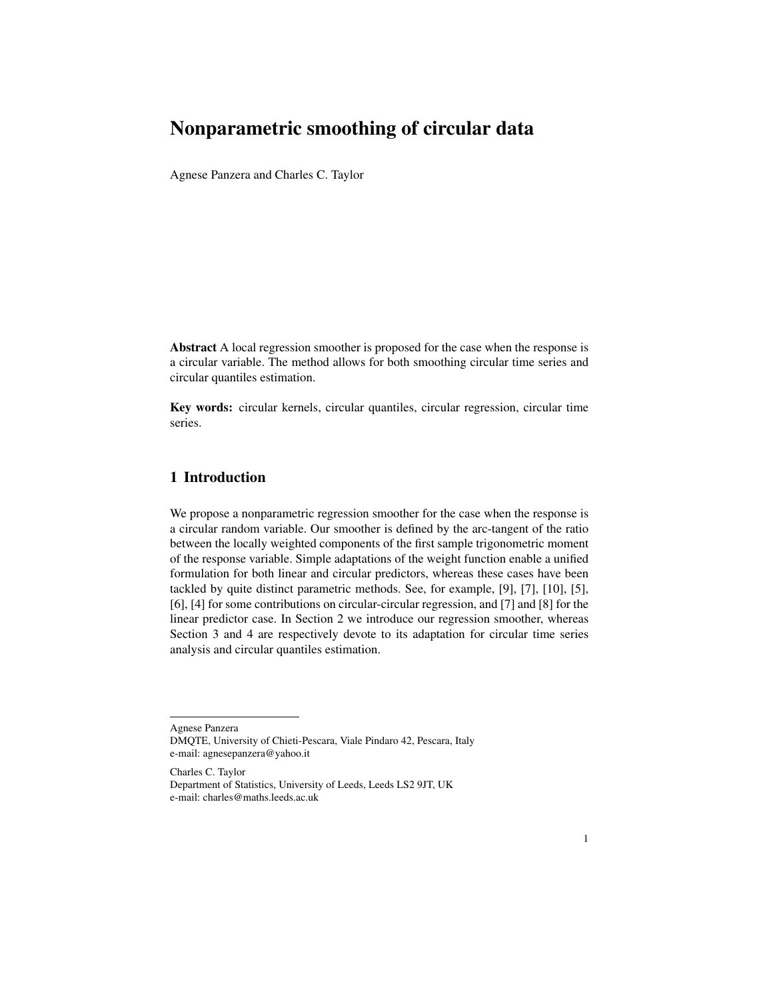# Nonparametric smoothing of circular data

Agnese Panzera and Charles C. Taylor

Abstract A local regression smoother is proposed for the case when the response is a circular variable. The method allows for both smoothing circular time series and circular quantiles estimation.

Key words: circular kernels, circular quantiles, circular regression, circular time series.

# 1 Introduction

We propose a nonparametric regression smoother for the case when the response is a circular random variable. Our smoother is defined by the arc-tangent of the ratio between the locally weighted components of the first sample trigonometric moment of the response variable. Simple adaptations of the weight function enable a unified formulation for both linear and circular predictors, whereas these cases have been tackled by quite distinct parametric methods. See, for example, [9], [7], [10], [5], [6], [4] for some contributions on circular-circular regression, and [7] and [8] for the linear predictor case. In Section 2 we introduce our regression smoother, whereas Section 3 and 4 are respectively devote to its adaptation for circular time series analysis and circular quantiles estimation.

Agnese Panzera DMQTE, University of Chieti-Pescara, Viale Pindaro 42, Pescara, Italy e-mail: agnesepanzera@yahoo.it

Charles C. Taylor Department of Statistics, University of Leeds, Leeds LS2 9JT, UK e-mail: charles@maths.leeds.ac.uk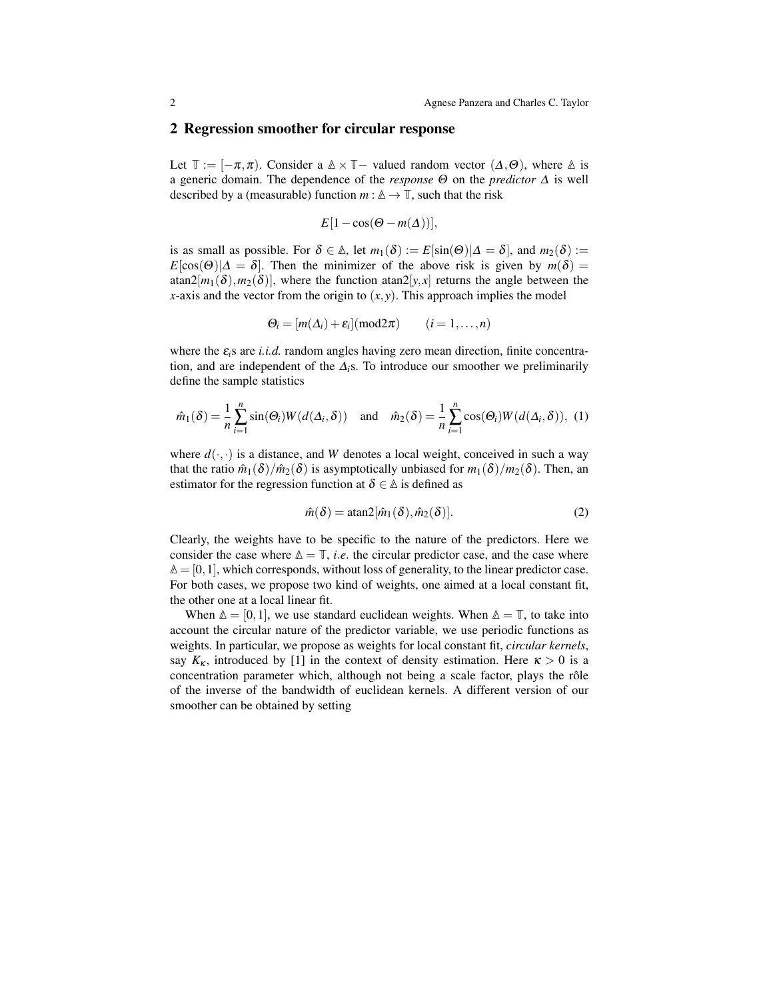#### 2 Regression smoother for circular response

Let  $\mathbb{T} := [-\pi, \pi)$ . Consider a  $\mathbb{A} \times \mathbb{T}$  – valued random vector  $(\Delta, \Theta)$ , where  $\mathbb{A}$  is a generic domain. The dependence of the *response* Θ on the *predictor* ∆ is well described by a (measurable) function  $m : \mathbb{A} \to \mathbb{T}$ , such that the risk

$$
E[1-\cos(\Theta - m(\Delta))],
$$

is as small as possible. For  $\delta \in \mathbb{A}$ , let  $m_1(\delta) := E[\sin(\Theta)|\Delta = \delta]$ , and  $m_2(\delta) :=$  $E[\cos(\Theta)|\Delta = \delta]$ . Then the minimizer of the above risk is given by  $m(\delta) =$  $\arctan2[m_1(\delta), m_2(\delta)]$ , where the function  $\arctan2[y, x]$  returns the angle between the *x*-axis and the vector from the origin to  $(x, y)$ . This approach implies the model

$$
\Theta_i = [m(\Delta_i) + \varepsilon_i](\text{mod}2\pi) \qquad (i = 1, \ldots, n)
$$

where the  $\varepsilon_i$ s are *i.i.d.* random angles having zero mean direction, finite concentration, and are independent of the  $\Delta_i$ s. To introduce our smoother we preliminarily define the sample statistics

$$
\hat{m}_1(\delta) = \frac{1}{n} \sum_{i=1}^n \sin(\Theta_i) W(d(\Delta_i, \delta)) \quad \text{and} \quad \hat{m}_2(\delta) = \frac{1}{n} \sum_{i=1}^n \cos(\Theta_i) W(d(\Delta_i, \delta)), \tag{1}
$$

where  $d(\cdot, \cdot)$  is a distance, and *W* denotes a local weight, conceived in such a way that the ratio  $\hat{m}_1(\delta)/\hat{m}_2(\delta)$  is asymptotically unbiased for  $m_1(\delta)/m_2(\delta)$ . Then, an estimator for the regression function at  $\delta \in \Delta$  is defined as

$$
\hat{m}(\delta) = \text{atan2}[\hat{m}_1(\delta), \hat{m}_2(\delta)].\tag{2}
$$

Clearly, the weights have to be specific to the nature of the predictors. Here we consider the case where  $\Delta = \mathbb{T}$ , *i.e.* the circular predictor case, and the case where **∆** = [0,1], which corresponds, without loss of generality, to the linear predictor case. For both cases, we propose two kind of weights, one aimed at a local constant fit, the other one at a local linear fit.

When  $\Delta = [0,1]$ , we use standard euclidean weights. When  $\Delta = \mathbb{T}$ , to take into account the circular nature of the predictor variable, we use periodic functions as weights. In particular, we propose as weights for local constant fit, *circular kernels*, say  $K_{\kappa}$ , introduced by [1] in the context of density estimation. Here  $\kappa > 0$  is a concentration parameter which, although not being a scale factor, plays the rôle of the inverse of the bandwidth of euclidean kernels. A different version of our smoother can be obtained by setting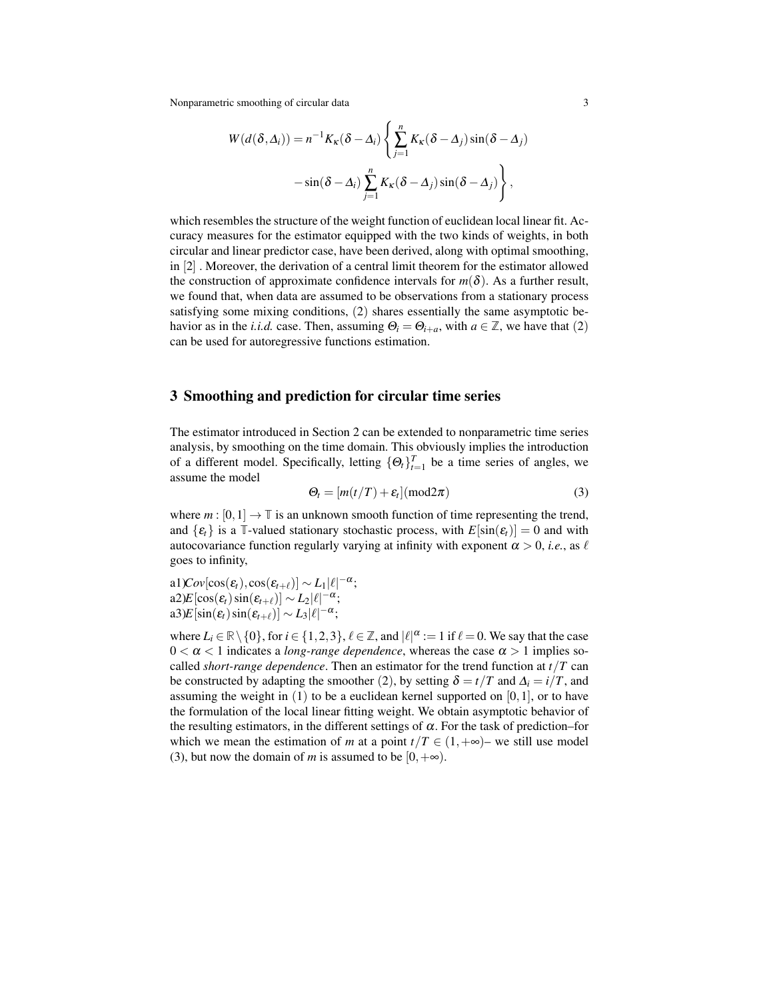Nonparametric smoothing of circular data 3

$$
W(d(\delta, \Delta_i)) = n^{-1} K_{\kappa}(\delta - \Delta_i) \left\{ \sum_{j=1}^n K_{\kappa}(\delta - \Delta_j) \sin(\delta - \Delta_j) -\sin(\delta - \Delta_i) \sum_{j=1}^n K_{\kappa}(\delta - \Delta_j) \sin(\delta - \Delta_j) \right\},\,
$$

which resembles the structure of the weight function of euclidean local linear fit. Accuracy measures for the estimator equipped with the two kinds of weights, in both circular and linear predictor case, have been derived, along with optimal smoothing, in [2] . Moreover, the derivation of a central limit theorem for the estimator allowed the construction of approximate confidence intervals for  $m(\delta)$ . As a further result, we found that, when data are assumed to be observations from a stationary process satisfying some mixing conditions, (2) shares essentially the same asymptotic behavior as in the *i.i.d.* case. Then, assuming  $\Theta_i = \Theta_{i+a}$ , with  $a \in \mathbb{Z}$ , we have that (2) can be used for autoregressive functions estimation.

### 3 Smoothing and prediction for circular time series

The estimator introduced in Section 2 can be extended to nonparametric time series analysis, by smoothing on the time domain. This obviously implies the introduction of a different model. Specifically, letting  $\{\Theta_t\}_{t=1}^T$  be a time series of angles, we assume the model

$$
\Theta_t = [m(t/T) + \varepsilon_t] (mod 2\pi)
$$
\n(3)

where  $m : [0,1] \to \mathbb{T}$  is an unknown smooth function of time representing the trend, and  $\{\varepsilon_t\}$  is a **T**-valued stationary stochastic process, with  $E[\sin(\varepsilon_t)] = 0$  and with autocovariance function regularly varying at infinity with exponent  $\alpha > 0$ , *i.e.*, as  $\ell$ goes to infinity,

a1) $Cov[\cos(\varepsilon_t), \cos(\varepsilon_{t+\ell})] \sim L_1 |\ell|^{-\alpha};$  $a2E[\cos(\varepsilon_t)\sin(\varepsilon_{t+\ell})] \sim L_2|\ell|^{-\alpha};$ a3) $E\left[\sin(\varepsilon_t)\sin(\varepsilon_{t+\ell})\right] \sim L_3|\ell|^{-\alpha};$ 

where  $L_i \in \mathbb{R} \setminus \{0\}$ , for  $i \in \{1, 2, 3\}$ ,  $\ell \in \mathbb{Z}$ , and  $|\ell|^{\alpha} := 1$  if  $\ell = 0$ . We say that the case  $0 < \alpha < 1$  indicates a *long-range dependence*, whereas the case  $\alpha > 1$  implies socalled *short-range dependence*. Then an estimator for the trend function at  $t/T$  can be constructed by adapting the smoother (2), by setting  $\delta = t/T$  and  $\Delta_i = i/T$ , and assuming the weight in  $(1)$  to be a euclidean kernel supported on  $[0,1]$ , or to have the formulation of the local linear fitting weight. We obtain asymptotic behavior of the resulting estimators, in the different settings of  $\alpha$ . For the task of prediction–for which we mean the estimation of *m* at a point  $t/T \in (1, +\infty)$ – we still use model (3), but now the domain of *m* is assumed to be  $[0, +\infty)$ .